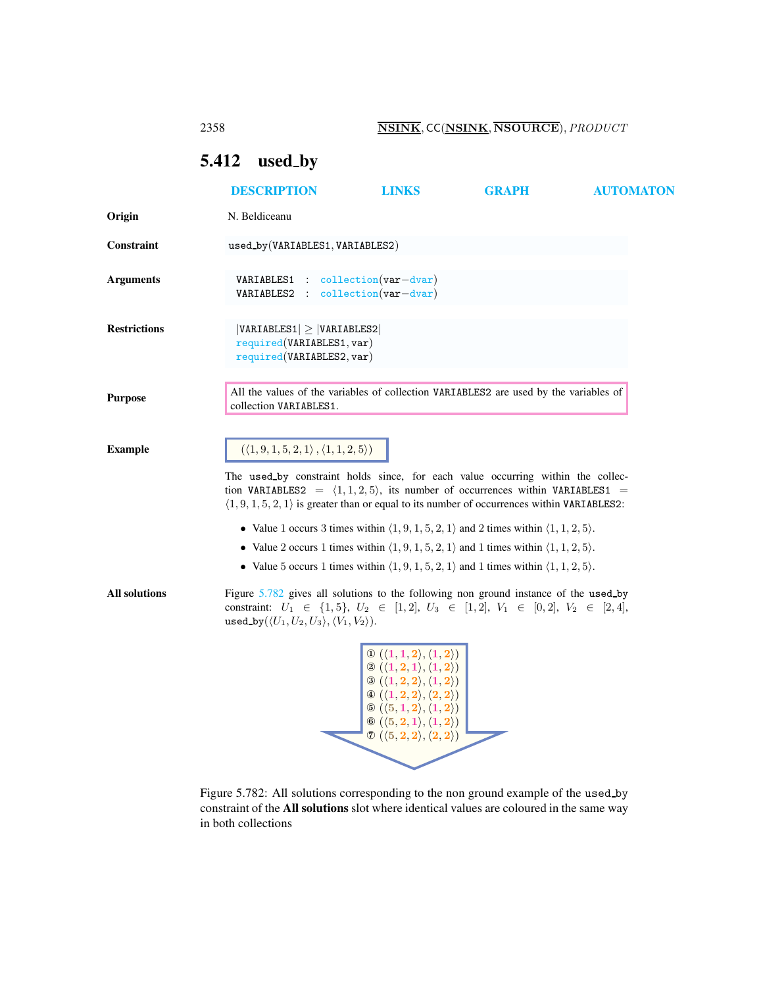2358 NSINK, CC(NSINK, NSOURCE), PRODUCT

## <span id="page-0-2"></span><span id="page-0-0"></span>5.412 used by

|                      | <b>DESCRIPTION</b>                                                                                                                                                                                                                                                                                                                                     | <b>LINKS</b>                                                                                                                                                                                                                                                                                                                                                                                                                                                                                      | <b>GRAPH</b>                                                                                                                                                                                                                                                                                                                                                         | <b>AUTOMATON</b> |  |
|----------------------|--------------------------------------------------------------------------------------------------------------------------------------------------------------------------------------------------------------------------------------------------------------------------------------------------------------------------------------------------------|---------------------------------------------------------------------------------------------------------------------------------------------------------------------------------------------------------------------------------------------------------------------------------------------------------------------------------------------------------------------------------------------------------------------------------------------------------------------------------------------------|----------------------------------------------------------------------------------------------------------------------------------------------------------------------------------------------------------------------------------------------------------------------------------------------------------------------------------------------------------------------|------------------|--|
| Origin               | N. Beldiceanu                                                                                                                                                                                                                                                                                                                                          |                                                                                                                                                                                                                                                                                                                                                                                                                                                                                                   |                                                                                                                                                                                                                                                                                                                                                                      |                  |  |
| <b>Constraint</b>    | used_by(VARIABLES1, VARIABLES2)                                                                                                                                                                                                                                                                                                                        |                                                                                                                                                                                                                                                                                                                                                                                                                                                                                                   |                                                                                                                                                                                                                                                                                                                                                                      |                  |  |
| <b>Arguments</b>     | VARIABLES1 : collection(var-dvar)<br>VARIABLES2 : collection(var-dvar)                                                                                                                                                                                                                                                                                 |                                                                                                                                                                                                                                                                                                                                                                                                                                                                                                   |                                                                                                                                                                                                                                                                                                                                                                      |                  |  |
| <b>Restrictions</b>  | $ VARIABLES1  \geq  VARIABLES2 $<br>required(VARIABLES1, var)<br>required(VARIABLES2, var)                                                                                                                                                                                                                                                             |                                                                                                                                                                                                                                                                                                                                                                                                                                                                                                   |                                                                                                                                                                                                                                                                                                                                                                      |                  |  |
| <b>Purpose</b>       | All the values of the variables of collection VARIABLES2 are used by the variables of<br>collection VARIABLES1.                                                                                                                                                                                                                                        |                                                                                                                                                                                                                                                                                                                                                                                                                                                                                                   |                                                                                                                                                                                                                                                                                                                                                                      |                  |  |
| <b>Example</b>       | $(\langle 1, 9, 1, 5, 2, 1 \rangle, \langle 1, 1, 2, 5 \rangle)$<br>The used by constraint holds since, for each value occurring within the collec-<br>tion VARIABLES2 = $\langle 1, 1, 2, 5 \rangle$ , its number of occurrences within VARIABLES1 =<br>$(1, 9, 1, 5, 2, 1)$ is greater than or equal to its number of occurrences within VARIABLES2: |                                                                                                                                                                                                                                                                                                                                                                                                                                                                                                   |                                                                                                                                                                                                                                                                                                                                                                      |                  |  |
|                      |                                                                                                                                                                                                                                                                                                                                                        |                                                                                                                                                                                                                                                                                                                                                                                                                                                                                                   | • Value 1 occurs 3 times within $\langle 1, 9, 1, 5, 2, 1 \rangle$ and 2 times within $\langle 1, 1, 2, 5 \rangle$ .<br>• Value 2 occurs 1 times within $\langle 1, 9, 1, 5, 2, 1 \rangle$ and 1 times within $\langle 1, 1, 2, 5 \rangle$ .<br>• Value 5 occurs 1 times within $\langle 1, 9, 1, 5, 2, 1 \rangle$ and 1 times within $\langle 1, 1, 2, 5 \rangle$ . |                  |  |
| <b>All solutions</b> | Figure 5.782 gives all solutions to the following non ground instance of the used by<br>constraint: $U_1 \in \{1, 5\}, U_2 \in [1, 2], U_3 \in [1, 2], V_1 \in [0, 2], V_2 \in [2, 4],$<br>used_by( $\langle U_1, U_2, U_3 \rangle$ , $\langle V_1, V_2 \rangle$ ).                                                                                    |                                                                                                                                                                                                                                                                                                                                                                                                                                                                                                   |                                                                                                                                                                                                                                                                                                                                                                      |                  |  |
|                      |                                                                                                                                                                                                                                                                                                                                                        | $\begin{array}{l} \mathbb{O} \left(\langle 1,1,2 \rangle, \langle 1,2 \rangle \right) \\ \mathbb{Q} \left(\langle 1,2,1 \rangle, \langle 1,2 \rangle \right) \\ \mathbb{O} \left(\langle 1,2,2 \rangle, \langle 1,2 \rangle \right) \end{array}$<br>$\circledast (\langle 1,2,2\rangle,\langle 2,2\rangle)$<br>$\mathfrak{S}(\langle 5,1,2\rangle,\langle 1,2\rangle)$<br>$\mathbf{\Theta}(\langle 5,2,1 \rangle, \langle 1,2 \rangle)$<br>$\mathcal{O}(\langle 5,2,2\rangle,\langle 2,2\rangle)$ |                                                                                                                                                                                                                                                                                                                                                                      |                  |  |

<span id="page-0-1"></span>Figure 5.782: All solutions corresponding to the non ground example of the used by constraint of the All solutions slot where identical values are coloured in the same way in both collections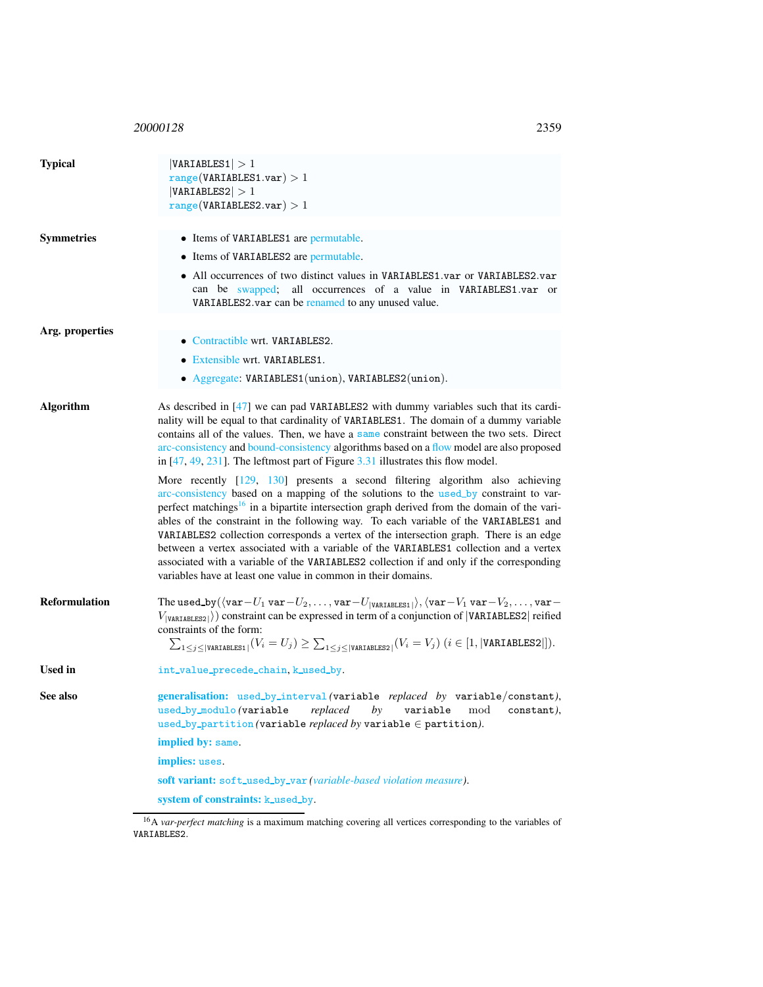<sup>20000128</sup> 2359

| <b>Typical</b>       | VARIABLES1  > 1<br>range(VARIABLES1.var) > 1<br> VARIABLES2  > 1<br>range(VARIABLES2.var) > 1                                                                                                                                                                                                                                                                                                                                                                                                                                                                                                                                                                                                                              |  |  |
|----------------------|----------------------------------------------------------------------------------------------------------------------------------------------------------------------------------------------------------------------------------------------------------------------------------------------------------------------------------------------------------------------------------------------------------------------------------------------------------------------------------------------------------------------------------------------------------------------------------------------------------------------------------------------------------------------------------------------------------------------------|--|--|
| <b>Symmetries</b>    | • Items of VARIABLES1 are permutable.                                                                                                                                                                                                                                                                                                                                                                                                                                                                                                                                                                                                                                                                                      |  |  |
|                      | • Items of VARIABLES2 are permutable.                                                                                                                                                                                                                                                                                                                                                                                                                                                                                                                                                                                                                                                                                      |  |  |
|                      | • All occurrences of two distinct values in VARIABLES1 var or VARIABLES2 var<br>can be swapped; all occurrences of a value in VARIABLES1.var or<br>VARIABLES2.var can be renamed to any unused value.                                                                                                                                                                                                                                                                                                                                                                                                                                                                                                                      |  |  |
|                      |                                                                                                                                                                                                                                                                                                                                                                                                                                                                                                                                                                                                                                                                                                                            |  |  |
| Arg. properties      | • Contractible wrt. VARIABLES2.                                                                                                                                                                                                                                                                                                                                                                                                                                                                                                                                                                                                                                                                                            |  |  |
|                      | • Extensible wrt. VARIABLES1.                                                                                                                                                                                                                                                                                                                                                                                                                                                                                                                                                                                                                                                                                              |  |  |
|                      | • Aggregate: VARIABLES1(union), VARIABLES2(union).                                                                                                                                                                                                                                                                                                                                                                                                                                                                                                                                                                                                                                                                         |  |  |
| <b>Algorithm</b>     | As described in [47] we can pad VARIABLES2 with dummy variables such that its cardi-<br>nality will be equal to that cardinality of VARIABLES1. The domain of a dummy variable<br>contains all of the values. Then, we have a same constraint between the two sets. Direct<br>arc-consistency and bound-consistency algorithms based on a flow model are also proposed<br>in $[47, 49, 231]$ . The leftmost part of Figure 3.31 illustrates this flow model.                                                                                                                                                                                                                                                               |  |  |
|                      | More recently $[129, 130]$ presents a second filtering algorithm also achieving<br>arc-consistency based on a mapping of the solutions to the used_by constraint to var-<br>perfect matchings <sup>16</sup> in a bipartite intersection graph derived from the domain of the vari-<br>ables of the constraint in the following way. To each variable of the VARIABLES1 and<br>VARIABLES2 collection corresponds a vertex of the intersection graph. There is an edge<br>between a vertex associated with a variable of the VARIABLES1 collection and a vertex<br>associated with a variable of the VARIABLES2 collection if and only if the corresponding<br>variables have at least one value in common in their domains. |  |  |
| <b>Reformulation</b> | The used_by( $\langle \text{var}-U_1 \text{ var}-U_2, \ldots, \text{var}-U_{ \text{VARIABLES1} } \rangle$ , $\langle \text{var}-V_1 \text{ var}-V_2, \ldots, \text{var}-$<br>$V_{[VARTABLES2]}\rangle$ constraint can be expressed in term of a conjunction of  VARIABLES2  reified<br>constraints of the form:<br>$\sum_{1 \leq j \leq  \texttt{VARTABLES1} }(V_i = U_j) \geq \sum_{1 \leq j \leq  \texttt{VARTABLES2} }(V_i = V_j) \ (i \in [1,  \texttt{VARTABLES2} ]).$                                                                                                                                                                                                                                                |  |  |
| <b>Used in</b>       | int_value_precede_chain, k_used_by.                                                                                                                                                                                                                                                                                                                                                                                                                                                                                                                                                                                                                                                                                        |  |  |

<span id="page-1-0"></span>See also generalisation: used\_by\_interval(variable *replaced by* variable/constant), used by modulo *(*variable *replaced by* variable mod constant*)*, used by partition *(*variable *replaced by* variable ∈ partition*)*.

implied by: same.

implies: uses.

soft variant: soft\_used\_by\_var (variable-based violation measure).

system of constraints: k\_used\_by.

<span id="page-1-1"></span><sup>&</sup>lt;sup>16</sup>A *var-perfect matching* is a maximum matching covering all vertices corresponding to the variables of VARIABLES2.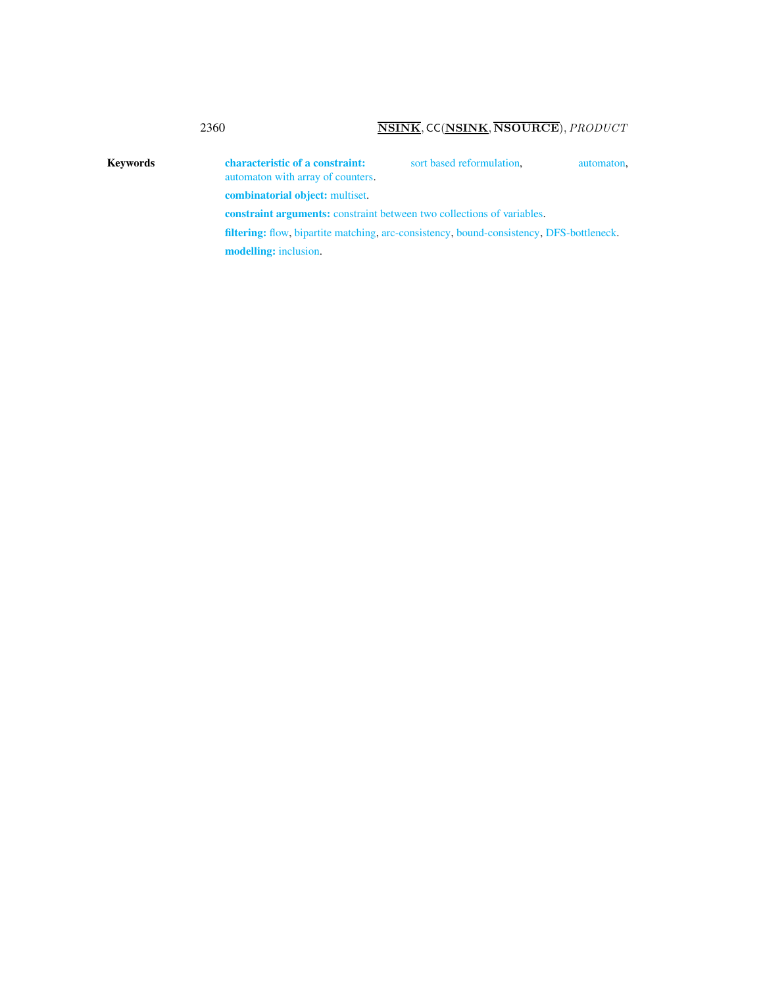## 2360 NSINK, CC(NSINK, NSOURCE), PRODUCT

Keywords characteristic of a constraint: sort based reformulation, automaton, automaton with array of counters. combinatorial object: multiset. constraint arguments: constraint between two collections of variables. filtering: flow, bipartite matching, arc-consistency, bound-consistency, DFS-bottleneck. modelling: inclusion.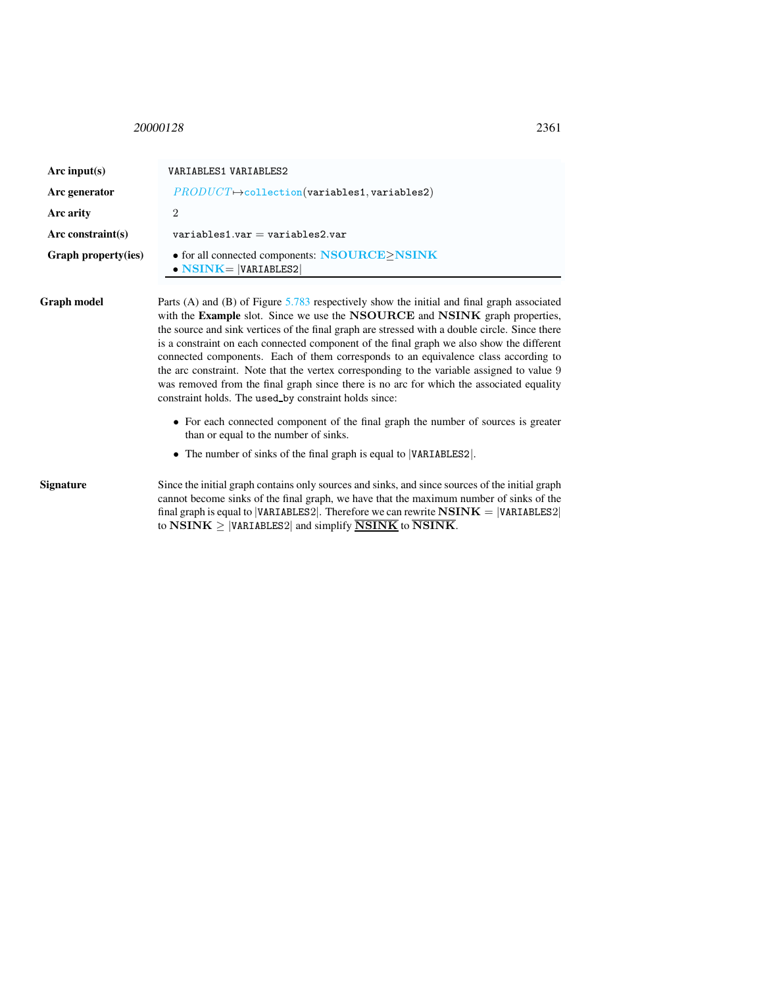<span id="page-3-0"></span><sup>20000128</sup> 2361

| Arc input $(s)$     | VARIABLES1 VARIABLES2                                                                                                                                                                                                                                                                                                                                                                                                                                                                                                                                                                                                                                                                                              |  |
|---------------------|--------------------------------------------------------------------------------------------------------------------------------------------------------------------------------------------------------------------------------------------------------------------------------------------------------------------------------------------------------------------------------------------------------------------------------------------------------------------------------------------------------------------------------------------------------------------------------------------------------------------------------------------------------------------------------------------------------------------|--|
| Arc generator       | $PRODUCT \rightarrow collection(variables1, variables2)$                                                                                                                                                                                                                                                                                                                                                                                                                                                                                                                                                                                                                                                           |  |
| Arc arity           | $\overline{2}$                                                                                                                                                                                                                                                                                                                                                                                                                                                                                                                                                                                                                                                                                                     |  |
| Arc constraint(s)   | $variable$ s1.var = variables2.var                                                                                                                                                                                                                                                                                                                                                                                                                                                                                                                                                                                                                                                                                 |  |
| Graph property(ies) | • for all connected components: NSOURCE>NSINK<br>$\bullet$ NSINK=  VARIABLES2                                                                                                                                                                                                                                                                                                                                                                                                                                                                                                                                                                                                                                      |  |
| Graph model         | Parts (A) and (B) of Figure 5.783 respectively show the initial and final graph associated<br>with the Example slot. Since we use the NSOURCE and NSINK graph properties,<br>the source and sink vertices of the final graph are stressed with a double circle. Since there<br>is a constraint on each connected component of the final graph we also show the different<br>connected components. Each of them corresponds to an equivalence class according to<br>the arc constraint. Note that the vertex corresponding to the variable assigned to value 9<br>was removed from the final graph since there is no arc for which the associated equality<br>constraint holds. The used by constraint holds since: |  |
|                     | • For each connected component of the final graph the number of sources is greater<br>than or equal to the number of sinks.                                                                                                                                                                                                                                                                                                                                                                                                                                                                                                                                                                                        |  |
|                     | • The number of sinks of the final graph is equal to VARIABLES2.                                                                                                                                                                                                                                                                                                                                                                                                                                                                                                                                                                                                                                                   |  |
| Signature           | Since the initial graph contains only sources and sinks, and since sources of the initial graph<br>cannot become sinks of the final graph, we have that the maximum number of sinks of the<br>final graph is equal to  VARIABLES2 . Therefore we can rewrite $\bf{NSINK} =  VARIABLES2 $<br>to $\overline{\text{NSINK}} \ge  \text{VARIABLES2} $ and simplify $\overline{\text{NSINK}}$ to $\overline{\text{NSINK}}$ .                                                                                                                                                                                                                                                                                             |  |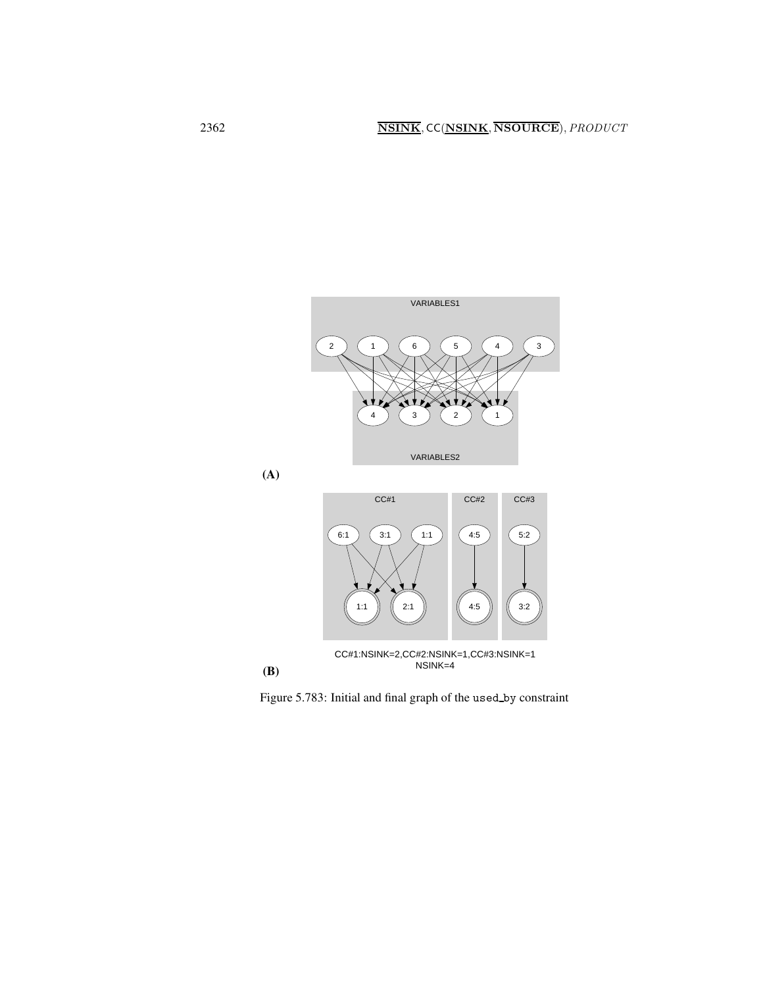



<span id="page-4-0"></span>Figure 5.783: Initial and final graph of the used by constraint

(A)